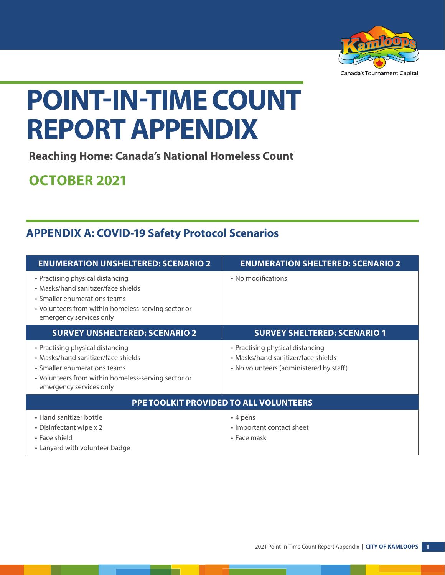

# **POINT-IN-TIME COUNT REPORT APPENDIX**

**Reaching Home: Canada's National Homeless Count**

# **OCTOBER 2021**

# **APPENDIX A: COVID-19 Safety Protocol Scenarios**

| <b>ENUMERATION UNSHELTERED: SCENARIO 2</b>                                                                                                                                                | <b>ENUMERATION SHELTERED: SCENARIO 2</b>                                                                           |
|-------------------------------------------------------------------------------------------------------------------------------------------------------------------------------------------|--------------------------------------------------------------------------------------------------------------------|
| • Practising physical distancing<br>• Masks/hand sanitizer/face shields<br>• Smaller enumerations teams<br>• Volunteers from within homeless-serving sector or<br>emergency services only | • No modifications                                                                                                 |
| <b>SURVEY UNSHELTERED: SCENARIO 2</b>                                                                                                                                                     | <b>SURVEY SHELTERED: SCENARIO 1</b>                                                                                |
| • Practising physical distancing<br>• Masks/hand sanitizer/face shields<br>• Smaller enumerations teams<br>• Volunteers from within homeless-serving sector or<br>emergency services only | • Practising physical distancing<br>• Masks/hand sanitizer/face shields<br>• No volunteers (administered by staff) |
| <b>PPE TOOLKIT PROVIDED TO ALL VOLUNTEERS</b>                                                                                                                                             |                                                                                                                    |
| • Hand sanitizer bottle<br>• Disinfectant wipe x 2<br>• Face shield<br>• Lanyard with volunteer badge                                                                                     | $\cdot$ 4 pens<br>• Important contact sheet<br>• Face mask                                                         |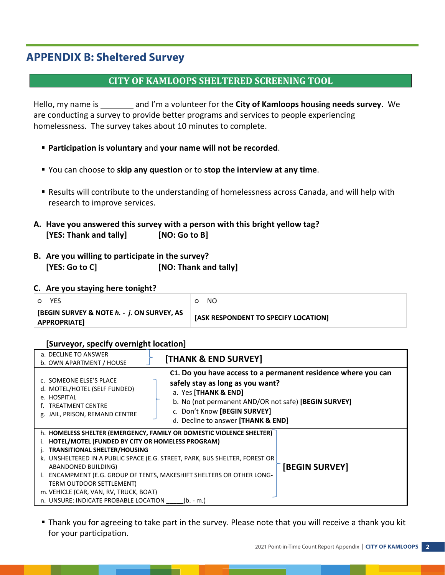# **APPENDIX B: Sheltered Survey**

### **CITY OF KAMLOOPS SHELTERED SCREENING TOOL**

Hello, my name is \_\_\_\_\_\_\_ and I'm a volunteer for the City of Kamloops housing needs survey. We are conducting a survey to provide better programs and services to people experiencing homelessness. The survey takes about 10 minutes to complete.

- **Participation is voluntary** and **your name will not be recorded**.
- You can choose to **skip any question** or to **stop the interview at any time**.
- Results will contribute to the understanding of homelessness across Canada, and will help with research to improve services.
- **A. Have you answered this survey with a person with this bright yellow tag? [YES: Thank and tally] [NO: Go to B]**
- **B. Are you willing to participate in the survey? [YES: Go to C] [NO: Thank and tally]**

#### **C. Are you staying here tonight?**

| YES.<br>$\circ$                                              | NO.                                  |
|--------------------------------------------------------------|--------------------------------------|
| [BEGIN SURVEY & NOTE h. - j. ON SURVEY, AS<br>  APPROPRIATE] | [ASK RESPONDENT TO SPECIFY LOCATION] |

#### **[Surveyor, specify overnight location]**

| a. DECLINE TO ANSWER<br>b. OWN APARTMENT / HOUSE                                                                                    | [THANK & END SURVEY]                                                                                                                                                                                                                                    |
|-------------------------------------------------------------------------------------------------------------------------------------|---------------------------------------------------------------------------------------------------------------------------------------------------------------------------------------------------------------------------------------------------------|
| c. SOMEONE ELSE'S PLACE<br>d. MOTEL/HOTEL (SELF FUNDED)<br>e. HOSPITAL<br><b>TREATMENT CENTRE</b><br>g. JAIL, PRISON, REMAND CENTRE | C1. Do you have access to a permanent residence where you can<br>safely stay as long as you want?<br>a. Yes [THANK & END]<br>b. No (not permanent AND/OR not safe) [BEGIN SURVEY]<br>c. Don't Know [BEGIN SURVEY]<br>d. Decline to answer [THANK & END] |
| HOTEL/MOTEL (FUNDED BY CITY OR HOMELESS PROGRAM)                                                                                    | h. HOMELESS SHELTER (EMERGENCY, FAMILY OR DOMESTIC VIOLENCE SHELTER)                                                                                                                                                                                    |
| TRANSITIONAL SHELTER/HOUSING<br>ABANDONED BUILDING)                                                                                 | k. UNSHELTERED IN A PUBLIC SPACE (E.G. STREET, PARK, BUS SHELTER, FOREST OR<br>[BEGIN SURVEY]                                                                                                                                                           |
| TERM OUTDOOR SETTLEMENT)                                                                                                            | ENCAMPMENT (E.G. GROUP OF TENTS, MAKESHIFT SHELTERS OR OTHER LONG-                                                                                                                                                                                      |
| m. VEHICLE (CAR, VAN, RV, TRUCK, BOAT)<br>n. UNSURE: INDICATE PROBABLE LOCATION                                                     | (b. - m.)                                                                                                                                                                                                                                               |

 Thank you for agreeing to take part in the survey. Please note that you will receive a thank you kit for your participation.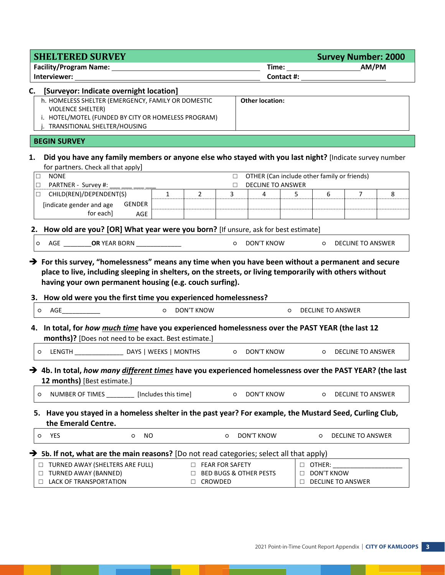| <b>SHELTERED SURVEY</b>                                                                                                                                                                                                                                                                                                                                                 |                                |                                          |                                             | <b>Survey Number: 2000</b> |
|-------------------------------------------------------------------------------------------------------------------------------------------------------------------------------------------------------------------------------------------------------------------------------------------------------------------------------------------------------------------------|--------------------------------|------------------------------------------|---------------------------------------------|----------------------------|
| <b>Facility/Program Name:</b>                                                                                                                                                                                                                                                                                                                                           |                                |                                          |                                             | AM/PM                      |
|                                                                                                                                                                                                                                                                                                                                                                         |                                | Contact #:                               |                                             |                            |
| C. [Surveyor: Indicate overnight location]<br>h. HOMELESS SHELTER (EMERGENCY, FAMILY OR DOMESTIC<br><b>VIOLENCE SHELTER)</b>                                                                                                                                                                                                                                            |                                | <b>Other location:</b>                   |                                             |                            |
| i. HOTEL/MOTEL (FUNDED BY CITY OR HOMELESS PROGRAM)<br>TRANSITIONAL SHELTER/HOUSING                                                                                                                                                                                                                                                                                     |                                |                                          |                                             |                            |
| <b>BEGIN SURVEY</b>                                                                                                                                                                                                                                                                                                                                                     |                                |                                          |                                             |                            |
| Did you have any family members or anyone else who stayed with you last night? [Indicate survey number<br>1.<br>for partners. Check all that apply]                                                                                                                                                                                                                     |                                |                                          |                                             |                            |
| <b>NONE</b><br>$\Box$<br>PARTNER - Survey #:<br>$\Box$                                                                                                                                                                                                                                                                                                                  |                                | $\Box$<br><b>DECLINE TO ANSWER</b><br>П. | OTHER (Can include other family or friends) |                            |
| CHILD(REN)/DEPENDENT(S)<br>$\Box$                                                                                                                                                                                                                                                                                                                                       | $\overline{2}$<br>$\mathbf{1}$ | 3<br>4                                   | 6<br>5                                      | 7<br>8                     |
| <b>GENDER</b><br>[indicate gender and age<br>for each]<br><b>AGE</b>                                                                                                                                                                                                                                                                                                    |                                |                                          |                                             |                            |
| 2. How old are you? [OR] What year were you born? [If unsure, ask for best estimate]                                                                                                                                                                                                                                                                                    |                                |                                          |                                             |                            |
| AGE ____________OR YEAR BORN _______________<br>$\circ$                                                                                                                                                                                                                                                                                                                 |                                | O DON'T KNOW                             |                                             | O DECLINE TO ANSWER        |
|                                                                                                                                                                                                                                                                                                                                                                         |                                |                                          |                                             |                            |
| place to live, including sleeping in shelters, on the streets, or living temporarily with others without<br>having your own permanent housing (e.g. couch surfing).<br><b>AGE</b><br>$\circ$                                                                                                                                                                            | $\circ$<br><b>DON'T KNOW</b>   |                                          | <b>DECLINE TO ANSWER</b><br>$\circ$         |                            |
| 3. How old were you the first time you experienced homelessness?<br>months)? [Does not need to be exact. Best estimate.]                                                                                                                                                                                                                                                |                                |                                          |                                             |                            |
| O                                                                                                                                                                                                                                                                                                                                                                       |                                |                                          | $\circ$                                     | DECLINE TO ANSWER          |
| 12 months) [Best estimate.]                                                                                                                                                                                                                                                                                                                                             |                                |                                          |                                             |                            |
| NUMBER OF TIMES ________<br>O                                                                                                                                                                                                                                                                                                                                           | [Includes this time]           | DON'T KNOW<br>$\circ$                    | O                                           | <b>DECLINE TO ANSWER</b>   |
| 5. Have you stayed in a homeless shelter in the past year? For example, the Mustard Seed, Curling Club,<br>the Emerald Centre.                                                                                                                                                                                                                                          |                                |                                          |                                             |                            |
| 4. In total, for how much time have you experienced homelessness over the PAST YEAR (the last 12<br>YES<br>O<br>O                                                                                                                                                                                                                                                       | NO.                            | DON'T KNOW<br>O                          | $\circ$                                     | <b>DECLINE TO ANSWER</b>   |
|                                                                                                                                                                                                                                                                                                                                                                         |                                |                                          |                                             |                            |
| $\rightarrow$ For this survey, "homelessness" means any time when you have been without a permanent and secure<br>→ 4b. In total, how many different times have you experienced homelessness over the PAST YEAR? (the last<br>$\rightarrow$ 5b. If not, what are the main reasons? [Do not read categories; select all that apply)<br>□ TURNED AWAY (SHELTERS ARE FULL) | <b>EXAMPLE FEAR FOR SAFETY</b> |                                          | $\Box$ OTHER:                               |                            |

\_

- 11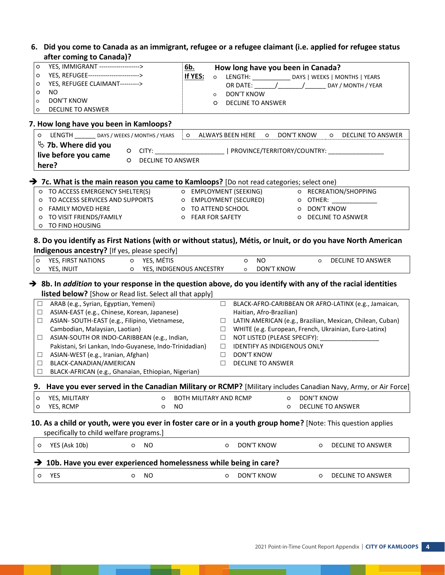#### **6. Did you come to Canada as an immigrant, refugee or a refugee claimant (i.e. applied for refugee status after coming to Canada)?**

|         | after coming to Canada)?                                                                                                                                                            |                            |                   |                                   |                                    |                   |                                                                                  |
|---------|-------------------------------------------------------------------------------------------------------------------------------------------------------------------------------------|----------------------------|-------------------|-----------------------------------|------------------------------------|-------------------|----------------------------------------------------------------------------------|
| O       | YES, IMMIGRANT ------------------>                                                                                                                                                  | <u>6b.</u>                 |                   | How long have you been in Canada? |                                    |                   |                                                                                  |
| O       | YES, REFUGEE------------------------->                                                                                                                                              | If YES:                    | $\circ$           |                                   |                                    |                   | LENGTH: ______________ DAYS   WEEKS   MONTHS   YEARS                             |
| O       | YES, REFUGEE CLAIMANT--------->                                                                                                                                                     |                            |                   |                                   |                                    |                   | OR DATE: __________________________________ DAY / MONTH / YEAR                   |
| O       | NO.                                                                                                                                                                                 |                            | $\circ$           | DON'T KNOW                        |                                    |                   |                                                                                  |
| $\circ$ | <b>DON'T KNOW</b>                                                                                                                                                                   |                            | O                 | <b>DECLINE TO ANSWER</b>          |                                    |                   |                                                                                  |
| O       | <b>DECLINE TO ANSWER</b>                                                                                                                                                            |                            |                   |                                   |                                    |                   |                                                                                  |
|         |                                                                                                                                                                                     |                            |                   |                                   |                                    |                   |                                                                                  |
|         | 7. How long have you been in Kamloops?                                                                                                                                              |                            |                   |                                   |                                    |                   |                                                                                  |
|         | O LENGTH DAYS / WEEKS / MONTHS / YEARS                                                                                                                                              |                            |                   | O ALWAYS BEEN HERE                | $\circ$                            | DON'T KNOW        | <b>DECLINE TO ANSWER</b><br>$\circ$                                              |
|         | $\%$ 7b. Where did you                                                                                                                                                              |                            |                   |                                   |                                    |                   | O CITY: ____________________________  PROVINCE/TERRITORY/COUNTRY: ______________ |
|         | live before you came<br>$\circ$                                                                                                                                                     | <b>DECLINE TO ANSWER</b>   |                   |                                   |                                    |                   |                                                                                  |
|         | here?                                                                                                                                                                               |                            |                   |                                   |                                    |                   |                                                                                  |
|         | $\rightarrow$ 7c. What is the main reason you came to Kamloops? [Do not read categories; select one)                                                                                |                            |                   |                                   |                                    |                   |                                                                                  |
|         | O TO ACCESS EMERGENCY SHELTER(S)                                                                                                                                                    |                            |                   | O EMPLOYMENT (SEEKING)            |                                    |                   | O RECREATION/SHOPPING                                                            |
|         | O TO ACCESS SERVICES AND SUPPORTS                                                                                                                                                   |                            |                   | O EMPLOYMENT (SECURED)            |                                    |                   | O OTHER:                                                                         |
|         | O FAMILY MOVED HERE                                                                                                                                                                 |                            |                   | O TO ATTEND SCHOOL                |                                    | o DON'T KNOW      |                                                                                  |
|         | O TO VISIT FRIENDS/FAMILY                                                                                                                                                           |                            | O FEAR FOR SAFETY |                                   |                                    |                   | O DECLINE TO ASNWER                                                              |
|         | O TO FIND HOUSING                                                                                                                                                                   |                            |                   |                                   |                                    |                   |                                                                                  |
| O<br>O  | Indigenous ancestry? [If yes, please specify]<br>YES, FIRST NATIONS<br>O YES, MÉTIS<br>YES, INUIT                                                                                   | O YES, INDIGENOUS ANCESTRY |                   | $\circ$<br>$\circ$                | <b>NO</b><br>DON'T KNOW            | $\circ$           | <b>DECLINE TO ANSWER</b>                                                         |
|         | $\rightarrow$ 8b. In addition to your response in the question above, do you identify with any of the racial identities<br>listed below? [Show or Read list. Select all that apply] |                            |                   |                                   |                                    |                   |                                                                                  |
| $\Box$  | ARAB (e.g., Syrian, Egyptian, Yemeni)                                                                                                                                               |                            |                   | $\Box$                            |                                    |                   | BLACK-AFRO-CARIBBEAN OR AFRO-LATINX (e.g., Jamaican,                             |
| $\Box$  | ASIAN-EAST (e.g., Chinese, Korean, Japanese)                                                                                                                                        |                            |                   |                                   | Haitian, Afro-Brazilian)           |                   |                                                                                  |
| $\Box$  | ASIAN- SOUTH-EAST (e.g., Filipino, Vietnamese,                                                                                                                                      |                            |                   | $\Box$                            |                                    |                   | LATIN AMERICAN (e.g., Brazilian, Mexican, Chilean, Cuban)                        |
|         | Cambodian, Malaysian, Laotian)                                                                                                                                                      |                            |                   | $\Box$                            |                                    |                   | WHITE (e.g. European, French, Ukrainian, Euro-Latinx)                            |
| $\Box$  | ASIAN-SOUTH OR INDO-CARIBBEAN (e.g., Indian,                                                                                                                                        |                            |                   | $\Box$                            |                                    |                   | NOT LISTED (PLEASE SPECIFY):                                                     |
|         | Pakistani, Sri Lankan, Indo-Guyanese, Indo-Trinidadian)                                                                                                                             |                            |                   | $\Box$                            | <b>IDENTIFY AS INDIGENOUS ONLY</b> |                   |                                                                                  |
| $\Box$  | ASIAN-WEST (e.g., Iranian, Afghan)                                                                                                                                                  |                            |                   | DON'T KNOW<br>$\Box$              |                                    |                   |                                                                                  |
| $\Box$  | BLACK-CANADIAN/AMERICAN                                                                                                                                                             |                            |                   | $\Box$                            | <b>DECLINE TO ANSWER</b>           |                   |                                                                                  |
| $\Box$  | BLACK-AFRICAN (e.g., Ghanaian, Ethiopian, Nigerian)                                                                                                                                 |                            |                   |                                   |                                    |                   |                                                                                  |
| 9.      | Have you ever served in the Canadian Military or RCMP? [Military includes Canadian Navy, Army, or Air Force]                                                                        |                            |                   |                                   |                                    |                   |                                                                                  |
| O       | YES, MILITARY                                                                                                                                                                       | O                          |                   | <b>BOTH MILITARY AND RCMP</b>     | O                                  | <b>DON'T KNOW</b> |                                                                                  |
| O       | YES, RCMP                                                                                                                                                                           | NO<br>O                    |                   |                                   | O                                  |                   | DECLINE TO ANSWER                                                                |
|         | 10. As a child or youth, were you ever in foster care or in a youth group home? [Note: This question applies<br>specifically to child welfare programs.]                            |                            |                   |                                   |                                    |                   |                                                                                  |
| O       | YES (Ask 10b)<br><b>NO</b><br>O                                                                                                                                                     |                            |                   | <b>DON'T KNOW</b><br>O            |                                    | O                 | <b>DECLINE TO ANSWER</b>                                                         |
|         | 10b. Have you ever experienced homelessness while being in care?<br>YES<br><b>NO</b>                                                                                                |                            |                   |                                   | <b>DON'T KNOW</b>                  |                   |                                                                                  |

\_\_

a sa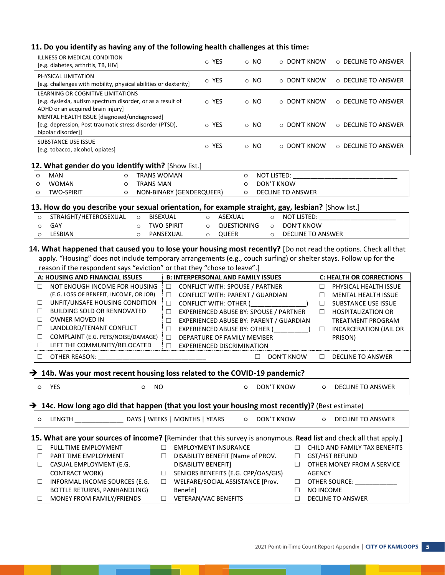#### **11. Do you identify as having any of the following health challenges at this time:**

| ILLNESS OR MEDICAL CONDITION<br>[e.g. diabetes, arthritis, TB, HIV]                                                                   | o YES                | $\circ$ NO | $\circ$ DON'T KNOW | ○ DECLINE TO ANSWER |
|---------------------------------------------------------------------------------------------------------------------------------------|----------------------|------------|--------------------|---------------------|
| PHYSICAL LIMITATION<br>[e.g. challenges with mobility, physical abilities or dexterity]                                               | o YES                | $\circ$ NO | ○ DON'T KNOW       | ○ DECLINE TO ANSWER |
| LEARNING OR COGNITIVE LIMITATIONS<br>[e.g. dyslexia, autism spectrum disorder, or as a result of<br>ADHD or an acquired brain injury] | o YES                | $\circ$ NO | $\circ$ DON'T KNOW | ○ DECLINE TO ANSWER |
| MENTAL HEALTH ISSUE [diagnosed/undiagnosed]<br>[e.g. depression, Post traumatic stress disorder (PTSD),<br>bipolar disorder]]         | o YES                | $\circ$ NO | $\circ$ DON'T KNOW | ○ DECLINE TO ANSWER |
| SUBSTANCE USE ISSUE<br>[e.g. tobacco, alcohol, opiates]                                                                               | <b>YES</b><br>$\cap$ | $\circ$ NO | $\circ$ DON'T KNOW | ○ DECLINE TO ANSWER |

#### **12. What gender do you identify with?** [Show list.]

|    | MAN          | TRANS WOMAN              | NOT LISTED:       |
|----|--------------|--------------------------|-------------------|
| ۱o | <b>WOMAN</b> | TRANS MAN                | DON'T KNOW        |
|    | TWO-SPIRIT   | NON-BINARY (GENDERQUEER) | DECLINE TO ANSWER |

#### **13. How do you describe your sexual orientation, for example straight, gay, lesbian?** [Show list.]

| STRAIGHT/HETEROSEXUAL | BISEXUAL          | ASEXUAL      |        | NOT LISTED:       |
|-----------------------|-------------------|--------------|--------|-------------------|
| GAY                   | <b>TWO-SPIRIT</b> | QUESTIONING  | $\cap$ | DON'T KNOW        |
| LESBIAN               | PANSEXUAL         | <b>OUEER</b> |        | DECLINE TO ANSWER |

#### **14. What happened that caused you to lose your housing most recently?** [Do not read the options. Check all that apply. "Housing" does not include temporary arrangements (e.g., couch surfing) or shelter stays. Follow up for the reason if the respondent says "eviction" or that they "chose to leave".]

|        | A: HOUSING AND FINANCIAL ISSUES        |        | <b>B: INTERPERSONAL AND FAMILY ISSUES</b> | <b>C: HEALTH OR CORRECTIONS</b> |                               |  |
|--------|----------------------------------------|--------|-------------------------------------------|---------------------------------|-------------------------------|--|
|        | NOT ENOUGH INCOME FOR HOUSING          | $\Box$ | <b>CONFLICT WITH: SPOUSE / PARTNER</b>    |                                 | PHYSICAL HEALTH ISSUE         |  |
|        | (E.G. LOSS OF BENEFIT, INCOME, OR JOB) | $\Box$ | CONFLICT WITH: PARENT / GUARDIAN          | H                               | <b>MENTAL HEALTH ISSUE</b>    |  |
| $\Box$ | UNFIT/UNSAFE HOUSING CONDITION         | □      | <b>CONFLICT WITH: OTHER (</b>             |                                 | <b>SUBSTANCE USE ISSUE</b>    |  |
|        | <b>BUILDING SOLD OR RENNOVATED</b>     |        | EXPERIENCED ABUSE BY: SPOUSE / PARTNER    | П                               | <b>HOSPITALIZATION OR</b>     |  |
|        | <b>OWNER MOVED IN</b>                  |        | EXPERIENCED ABUSE BY: PARENT / GUARDIAN   |                                 | TREATMENT PROGRAM             |  |
| П      | LANDLORD/TENANT CONFLICT               |        | <b>EXPERIENCED ABUSE BY: OTHER (</b>      | □                               | <b>INCARCERATION (JAIL OR</b> |  |
|        | COMPLAINT (E.G. PETS/NOISE/DAMAGE)     |        | DEPARTURE OF FAMILY MEMBER                |                                 | PRISON)                       |  |
|        | LEFT THE COMMUNITY/RELOCATED           |        | <b>EXPERIENCED DISCRIMINATION</b>         |                                 |                               |  |
|        | OTHER REASON:                          |        | DON'T KNOW                                | $\Box$                          | <b>DECLINE TO ANSWER</b>      |  |

#### **14b. Was your most recent housing loss related to the COVID-19 pandemic?**

| $\circ$ | <b>YES</b><br>$\circ$                                                                                              | NO.    |                                     | $\circ$ | DON'T KNOW |   | $\circ$          | DECLINE TO ANSWER             |  |  |  |  |  |
|---------|--------------------------------------------------------------------------------------------------------------------|--------|-------------------------------------|---------|------------|---|------------------|-------------------------------|--|--|--|--|--|
|         | $\rightarrow$ 14c. How long ago did that happen (that you lost your housing most recently)? (Best estimate)        |        |                                     |         |            |   |                  |                               |  |  |  |  |  |
| $\circ$ | <b>LENGTH</b>                                                                                                      |        | DAYS   WEEKS   MONTHS   YEARS       | $\circ$ | DON'T KNOW |   | $\circ$          | <b>DECLINE TO ANSWER</b>      |  |  |  |  |  |
|         | 15. What are your sources of income? [Reminder that this survey is anonymous. Read list and check all that apply.] |        |                                     |         |            |   |                  |                               |  |  |  |  |  |
| $\Box$  | FULL TIME EMPLOYMENT                                                                                               | П      | <b>EMPLOYMENT INSURANCE</b>         |         |            | П |                  | CHILD AND FAMILY TAX BENEFITS |  |  |  |  |  |
| $\Box$  | PART TIME EMPLOYMENT                                                                                               | $\Box$ | DISABILITY BENEFIT [Name of PROV.   |         |            |   |                  | <b>GST/HST REFUND</b>         |  |  |  |  |  |
| $\Box$  | CASUAL EMPLOYMENT (E.G.                                                                                            |        | <b>DISABILITY BENEFIT]</b>          |         |            | П |                  | OTHER MONEY FROM A SERVICE    |  |  |  |  |  |
|         | <b>CONTRACT WORK)</b>                                                                                              | $\Box$ | SENIORS BENEFITS (E.G. CPP/OAS/GIS) |         |            |   | <b>AGENCY</b>    |                               |  |  |  |  |  |
| $\Box$  | INFORMAL INCOME SOURCES (E.G.                                                                                      | $\Box$ | WELFARE/SOCIAL ASSISTANCE [Prov.    |         |            | □ |                  | <b>OTHER SOURCE:</b>          |  |  |  |  |  |
|         | BOTTLE RETURNS, PANHANDLING)                                                                                       |        | <b>Benefitl</b>                     |         |            |   | <b>NO INCOME</b> |                               |  |  |  |  |  |
| $\Box$  | MONEY FROM FAMILY/FRIENDS                                                                                          | П      | <b>VETERAN/VAC BENEFITS</b>         |         |            |   |                  | <b>DECLINE TO ANSWER</b>      |  |  |  |  |  |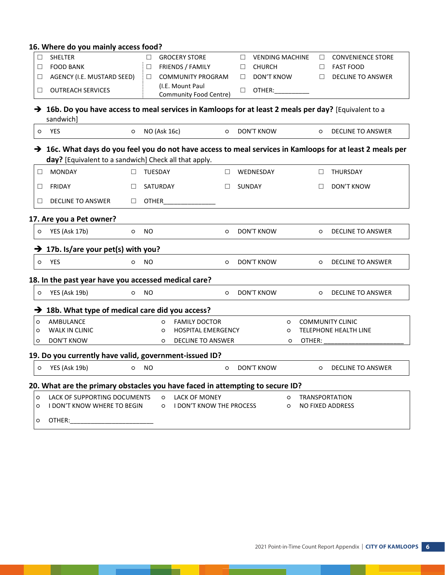#### **16. Where do you mainly access food?**

\_\_

a sa Ba

| □       | <b>SHELTER</b>                                                                                                                                                                 |         | $\Box$         | <b>GROCERY STORE</b>                       |         | $\Box$<br><b>VENDING MACHINE</b> |         | $\Box$                | <b>CONVENIENCE STORE</b> |  |
|---------|--------------------------------------------------------------------------------------------------------------------------------------------------------------------------------|---------|----------------|--------------------------------------------|---------|----------------------------------|---------|-----------------------|--------------------------|--|
| □       | <b>FOOD BANK</b>                                                                                                                                                               |         | □              | FRIENDS / FAMILY                           |         | <b>CHURCH</b><br>□               |         | □                     | <b>FAST FOOD</b>         |  |
| $\Box$  | AGENCY (I.E. MUSTARD SEED)                                                                                                                                                     |         | □              | <b>COMMUNITY PROGRAM</b>                   |         | DON'T KNOW<br>$\Box$             |         | $\Box$                | <b>DECLINE TO ANSWER</b> |  |
| $\Box$  | <b>OUTREACH SERVICES</b>                                                                                                                                                       |         |                | (I.E. Mount Paul<br>Community Food Centre) |         | OTHER:<br>$\Box$                 |         |                       |                          |  |
|         | → 16b. Do you have access to meal services in Kamloops for at least 2 meals per day? [Equivalent to a<br>sandwich]                                                             |         |                |                                            |         |                                  |         |                       |                          |  |
| $\circ$ | <b>YES</b>                                                                                                                                                                     | $\circ$ | NO (Ask 16c)   |                                            | $\circ$ | DON'T KNOW                       |         | $\circ$               | <b>DECLINE TO ANSWER</b> |  |
|         | $\rightarrow$ 16c. What days do you feel you do not have access to meal services in Kamloops for at least 2 meals per<br>day? [Equivalent to a sandwich] Check all that apply. |         |                |                                            |         |                                  |         |                       |                          |  |
| $\Box$  | <b>MONDAY</b>                                                                                                                                                                  | $\Box$  | <b>TUESDAY</b> |                                            | $\Box$  | WEDNESDAY                        |         | $\Box$                | <b>THURSDAY</b>          |  |
| $\Box$  | FRIDAY                                                                                                                                                                         | $\Box$  | SATURDAY       |                                            | $\Box$  | SUNDAY                           |         | $\Box$                | DON'T KNOW               |  |
| $\Box$  | <b>DECLINE TO ANSWER</b>                                                                                                                                                       | $\Box$  | OTHER          |                                            |         |                                  |         |                       |                          |  |
|         | 17. Are you a Pet owner?                                                                                                                                                       |         |                |                                            |         |                                  |         |                       |                          |  |
| $\circ$ | YES (Ask 17b)                                                                                                                                                                  | $\circ$ | <b>NO</b>      |                                            | $\circ$ | DON'T KNOW                       |         | $\circ$               | <b>DECLINE TO ANSWER</b> |  |
|         | $\rightarrow$ 17b. Is/are your pet(s) with you?                                                                                                                                |         |                |                                            |         |                                  |         |                       |                          |  |
| $\circ$ | YES                                                                                                                                                                            | $\circ$ | <b>NO</b>      |                                            | $\circ$ | DON'T KNOW                       |         | $\circ$               | <b>DECLINE TO ANSWER</b> |  |
|         | 18. In the past year have you accessed medical care?                                                                                                                           |         |                |                                            |         |                                  |         |                       |                          |  |
| $\circ$ | YES (Ask 19b)                                                                                                                                                                  | $\circ$ | <b>NO</b>      |                                            | $\circ$ | DON'T KNOW                       |         | $\circ$               | <b>DECLINE TO ANSWER</b> |  |
|         | $\rightarrow$ 18b. What type of medical care did you access?                                                                                                                   |         |                |                                            |         |                                  |         |                       |                          |  |
| $\circ$ | AMBULANCE                                                                                                                                                                      |         | $\circ$        | <b>FAMILY DOCTOR</b>                       |         |                                  | $\circ$ |                       | <b>COMMUNITY CLINIC</b>  |  |
| O       | <b>WALK IN CLINIC</b>                                                                                                                                                          |         | $\circ$        | <b>HOSPITAL EMERGENCY</b>                  |         |                                  | O       |                       | TELEPHONE HEALTH LINE    |  |
| $\circ$ | <b>DON'T KNOW</b>                                                                                                                                                              |         | $\circ$        | <b>DECLINE TO ANSWER</b>                   |         |                                  | O       | OTHER:                |                          |  |
|         | 19. Do you currently have valid, government-issued ID?                                                                                                                         |         |                |                                            |         |                                  |         |                       |                          |  |
| $\circ$ | YES (Ask 19b)                                                                                                                                                                  | $\circ$ | <b>NO</b>      |                                            | $\circ$ | DON'T KNOW                       |         | $\circ$               | <b>DECLINE TO ANSWER</b> |  |
|         | 20. What are the primary obstacles you have faced in attempting to secure ID?                                                                                                  |         |                |                                            |         |                                  |         |                       |                          |  |
| $\circ$ | LACK OF SUPPORTING DOCUMENTS                                                                                                                                                   |         | $\circ$        | <b>LACK OF MONEY</b>                       |         |                                  | $\circ$ | <b>TRANSPORTATION</b> |                          |  |
| O       | I DON'T KNOW WHERE TO BEGIN                                                                                                                                                    |         | $\circ$        | I DON'T KNOW THE PROCESS                   |         |                                  | $\circ$ | NO FIXED ADDRESS      |                          |  |
| $\circ$ | OTHER:                                                                                                                                                                         |         |                |                                            |         |                                  |         |                       |                          |  |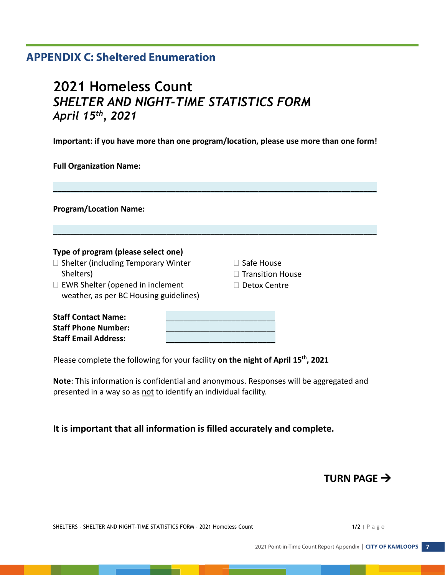# **APPENDIX C: Sheltered Enumeration**

# **2021 Homeless Count** *SHELTER AND NIGHT-TIME STATISTICS FORM April 15th , 2021*

**Important: if you have more than one program/location, please use more than one form!**

\_\_\_\_\_\_\_\_\_\_\_\_\_\_\_\_\_\_\_\_\_\_\_\_\_\_\_\_\_\_\_\_\_\_\_\_\_\_\_\_\_\_\_\_\_\_\_\_\_\_\_\_\_\_\_\_\_\_\_\_\_\_\_\_\_\_\_\_\_\_\_\_\_\_

\_\_\_\_\_\_\_\_\_\_\_\_\_\_\_\_\_\_\_\_\_\_\_\_\_\_\_\_\_\_\_\_\_\_\_\_\_\_\_\_\_\_\_\_\_\_\_\_\_\_\_\_\_\_\_\_\_\_\_\_\_\_\_\_\_\_\_\_\_\_\_\_\_\_

**Full Organization Name:**

**Program/Location Name:**

#### **Type of program (please select one)**

- $\Box$  Shelter (including Temporary Winter Shelters)
- □ EWR Shelter (opened in inclement weather, as per BC Housing guidelines)

| $\square$ Safe House |  |  |  |
|----------------------|--|--|--|
|                      |  |  |  |

- $\Box$  Transition House
- □ Detox Centre

| <b>Staff Contact Name:</b>  |  |
|-----------------------------|--|
| <b>Staff Phone Number:</b>  |  |
| <b>Staff Email Address:</b> |  |

Please complete the following for your facility **on the night of April 15th, 2021**

**Note**: This information is confidential and anonymous. Responses will be aggregated and presented in a way so as not to identify an individual facility.

# **It is important that all information is filled accurately and complete.**

# **TURN PAGE**  $\rightarrow$

SHELTERS - SHELTER AND NIGHT-TIME STATISTICS FORM - 2021 Homeless Count **1/2 1/2 1/2** | P a g e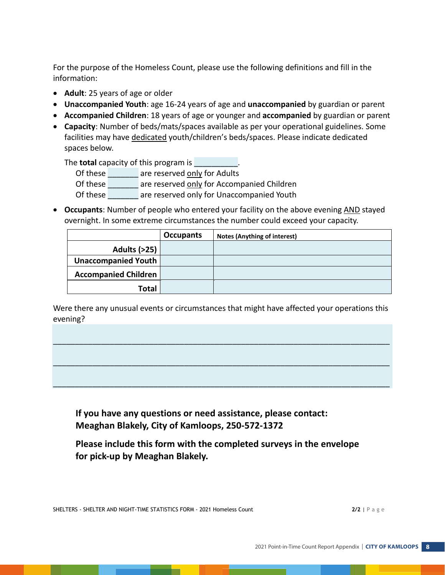For the purpose of the Homeless Count, please use the following definitions and fill in the information:

- **Adult**: 25 years of age or older
- **Unaccompanied Youth**: age 16-24 years of age and **unaccompanied** by guardian or parent
- **Accompanied Children**: 18 years of age or younger and **accompanied** by guardian or parent
- **Capacity**: Number of beds/mats/spaces available as per your operational guidelines. Some facilities may have dedicated youth/children's beds/spaces. Please indicate dedicated spaces below.

The **total** capacity of this program is **we are the contract** 

Of these \_\_\_\_\_\_\_ are reserved only for Adults

Of these are reserved only for Accompanied Children

Of these \_\_\_\_\_\_\_ are reserved only for Unaccompanied Youth

 **Occupants**: Number of people who entered your facility on the above evening AND stayed overnight. In some extreme circumstances the number could exceed your capacity.

|                             | <b>Occupants</b> | <b>Notes (Anything of interest)</b> |
|-----------------------------|------------------|-------------------------------------|
| <b>Adults (&gt;25)</b>      |                  |                                     |
| Unaccompanied Youth         |                  |                                     |
| <b>Accompanied Children</b> |                  |                                     |
| Total                       |                  |                                     |

Were there any unusual events or circumstances that might have affected your operations this evening?

\_\_\_\_\_\_\_\_\_\_\_\_\_\_\_\_\_\_\_\_\_\_\_\_\_\_\_\_\_\_\_\_\_\_\_\_\_\_\_\_\_\_\_\_\_\_\_\_\_\_\_\_\_\_\_\_\_\_\_\_\_\_\_\_\_\_\_\_\_\_\_\_\_\_\_\_\_

\_\_\_\_\_\_\_\_\_\_\_\_\_\_\_\_\_\_\_\_\_\_\_\_\_\_\_\_\_\_\_\_\_\_\_\_\_\_\_\_\_\_\_\_\_\_\_\_\_\_\_\_\_\_\_\_\_\_\_\_\_\_\_\_\_\_\_\_\_\_\_\_\_\_\_\_\_

\_\_\_\_\_\_\_\_\_\_\_\_\_\_\_\_\_\_\_\_\_\_\_\_\_\_\_\_\_\_\_\_\_\_\_\_\_\_\_\_\_\_\_\_\_\_\_\_\_\_\_\_\_\_\_\_\_\_\_\_\_\_\_\_\_\_\_\_\_\_\_\_\_\_\_\_\_

**If you have any questions or need assistance, please contact: Meaghan Blakely, City of Kamloops, 250-572-1372** 

**Please include this form with the completed surveys in the envelope for pick-up by Meaghan Blakely.**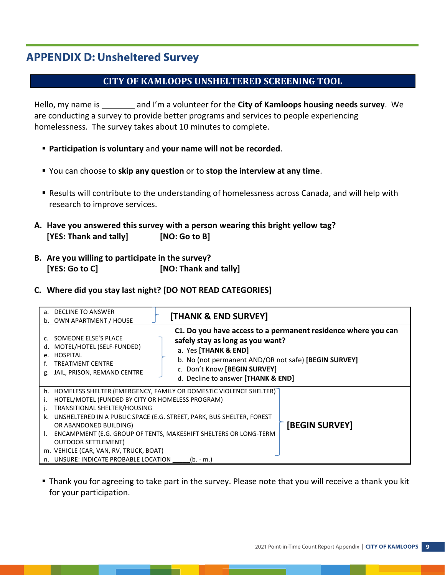# **APPENDIX D: Unsheltered Survey**

# **CITY OF KAMLOOPS UNSHELTERED SCREENING TOOL**

Hello, my name is and I'm a volunteer for the **City of Kamloops housing needs survey**. We are conducting a survey to provide better programs and services to people experiencing homelessness. The survey takes about 10 minutes to complete.

- **Participation is voluntary** and **your name will not be recorded**.
- You can choose to **skip any question** or to **stop the interview at any time**.
- Results will contribute to the understanding of homelessness across Canada, and will help with research to improve services.
- **A. Have you answered this survey with a person wearing this bright yellow tag? [YES: Thank and tally] [NO: Go to B]**
- **B. Are you willing to participate in the survey? [YES: Go to C] [NO: Thank and tally]**
- **C. Where did you stay last night? [DO NOT READ CATEGORIES]**

| a. DECLINE TO ANSWER<br>OWN APARTMENT / HOUSE<br>b.                                                                                                                                                                                     | [THANK & END SURVEY]                                                                                                                                                                                                                                    |
|-----------------------------------------------------------------------------------------------------------------------------------------------------------------------------------------------------------------------------------------|---------------------------------------------------------------------------------------------------------------------------------------------------------------------------------------------------------------------------------------------------------|
| SOMEONE ELSE'S PLACE<br>MOTEL/HOTEL (SELF-FUNDED)<br>d.<br><b>HOSPITAL</b><br>e.<br><b>TREATMENT CENTRE</b><br>JAIL, PRISON, REMAND CENTRE                                                                                              | C1. Do you have access to a permanent residence where you can<br>safely stay as long as you want?<br>a. Yes [THANK & END]<br>b. No (not permanent AND/OR not safe) [BEGIN SURVEY]<br>c. Don't Know [BEGIN SURVEY]<br>d. Decline to answer [THANK & END] |
| h.<br>HOTEL/MOTEL (FUNDED BY CITY OR HOMELESS PROGRAM)<br>TRANSITIONAL SHELTER/HOUSING<br>k.<br>OR ABANDONED BUILDING)<br><b>OUTDOOR SETTLEMENT)</b><br>m. VEHICLE (CAR, VAN, RV, TRUCK, BOAT)<br>n. UNSURE: INDICATE PROBABLE LOCATION | HOMELESS SHELTER (EMERGENCY, FAMILY OR DOMESTIC VIOLENCE SHELTER)<br>UNSHELTERED IN A PUBLIC SPACE (E.G. STREET, PARK, BUS SHELTER, FOREST<br>[BEGIN SURVEY]<br>ENCAMPMENT (E.G. GROUP OF TENTS, MAKESHIFT SHELTERS OR LONG-TERM<br>(b. - m.)           |

 Thank you for agreeing to take part in the survey. Please note that you will receive a thank you kit for your participation.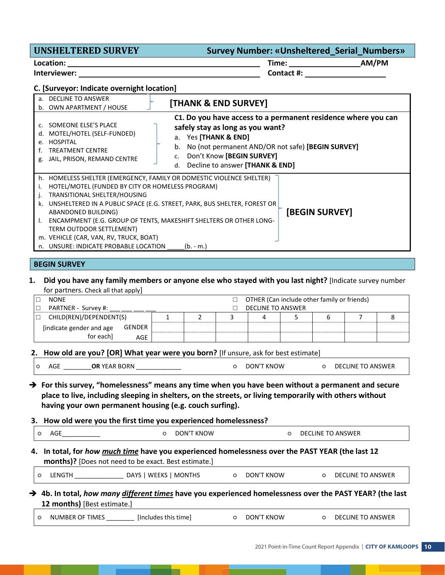# **UNSHELTERED SURVEY Survey Number: «Unsheltered\_Serial\_Numbers» Location: Time: AM/PM Interviewer: Contact #:**

#### **C. [Surveyor: Indicate overnight location]**

| DECLINE TO ANSWER                                                                                                                                                                                                                  | [THANK & END SURVEY]                                                                                                                                                                                                                                                         |
|------------------------------------------------------------------------------------------------------------------------------------------------------------------------------------------------------------------------------------|------------------------------------------------------------------------------------------------------------------------------------------------------------------------------------------------------------------------------------------------------------------------------|
| b. OWN APARTMENT / HOUSE                                                                                                                                                                                                           |                                                                                                                                                                                                                                                                              |
| SOMEONE ELSE'S PLACE<br>$\mathsf{C}$<br>MOTEL/HOTEL (SELF-FUNDED)<br>d.<br>HOSPITAL<br>$\mathsf{P}$ .<br><b>TREATMENT CENTRE</b><br>JAIL, PRISON, REMAND CENTRE<br>g.                                                              | C1. Do you have access to a permanent residence where you can<br>safely stay as long as you want?<br>a. Yes [THANK & END]<br>No (not permanent AND/OR not safe) [BEGIN SURVEY]<br>b.<br>Don't Know [BEGIN SURVEY]<br>C <sub>1</sub><br>Decline to answer [THANK & END]<br>d. |
| h.<br>HOTEL/MOTEL (FUNDED BY CITY OR HOMELESS PROGRAM)<br>TRANSITIONAL SHELTER/HOUSING<br>k.<br>ABANDONED BUILDING)<br>TERM OUTDOOR SETTLEMENT)<br>m. VEHICLE (CAR, VAN, RV, TRUCK, BOAT)<br>n. UNSURE: INDICATE PROBABLE LOCATION | HOMELESS SHELTER (EMERGENCY, FAMILY OR DOMESTIC VIOLENCE SHELTER)<br>UNSHELTERED IN A PUBLIC SPACE (E.G. STREET, PARK, BUS SHELTER, FOREST OR<br>[BEGIN SURVEY]<br>ENCAMPMENT (E.G. GROUP OF TENTS, MAKESHIFT SHELTERS OR OTHER LONG-<br>$(b. - m.)$                         |
| <b>BEGIN SURVEY</b>                                                                                                                                                                                                                |                                                                                                                                                                                                                                                                              |

#### **1. Did you have any family members or anyone else who stayed with you last night?** [Indicate survey number for partners. Check all that apply]

|        | <b>NONE</b>              |        |                   |  |  | OTHER (Can include other family or friends) |  |  |  |  |
|--------|--------------------------|--------|-------------------|--|--|---------------------------------------------|--|--|--|--|
|        | PARTNER - Survey #:      |        | DECLINE TO ANSWER |  |  |                                             |  |  |  |  |
| $\Box$ | CHILD(REN)/DEPENDENT(S)  |        |                   |  |  |                                             |  |  |  |  |
|        | [indicate gender and age | GENDER |                   |  |  |                                             |  |  |  |  |
|        | for each]                | AGE    |                   |  |  |                                             |  |  |  |  |

#### **2. How old are you? [OR] What year were you born?** [If unsure, ask for best estimate]

|  | AGE | <b>OR YEAR BORN</b> |  | DON'T KNOW |  | DECLINE TO ANSWER |
|--|-----|---------------------|--|------------|--|-------------------|
|--|-----|---------------------|--|------------|--|-------------------|

### **→** For this survey, "homelessness" means any time when you have been without a permanent and secure **place to live, including sleeping in shelters, on the streets, or living temporarily with others without having your own permanent housing (e.g. couch surfing).**

#### **3. How old were you the first time you experienced homelessness?**

| ∼ | $\sim$ $\sim$ $\sim$<br>AUL | <b>KNOW</b><br>$DON^{\prime\tau}$ | $\cdots$<br><b>ANSWFR</b><br>DF<br>-INF<br>. בי<br>the contract of the contract of the contract of the contract of the contract of the contract of the contract of |
|---|-----------------------------|-----------------------------------|--------------------------------------------------------------------------------------------------------------------------------------------------------------------|
|   |                             |                                   |                                                                                                                                                                    |

### **4. In total, for** *how much time* **have you experienced homelessness over the PAST YEAR (the last 12 months)?** [Does not need to be exact. Best estimate.]

|  | LENGTH | DAYS I WEEKS I MONTHS |  | DON'T KNOW |  |  | DECLINE TO ANSWER |  |
|--|--------|-----------------------|--|------------|--|--|-------------------|--|
|--|--------|-----------------------|--|------------|--|--|-------------------|--|

#### **4b. In total,** *how many different times* **have you experienced homelessness over the PAST YEAR? (the last 12 months)** [Best estimate.]

|  | NUMBER OF TIMES | fincludes this timeT |  | DON'T KNOW |  | DECLINE TO ANSWER |
|--|-----------------|----------------------|--|------------|--|-------------------|
|--|-----------------|----------------------|--|------------|--|-------------------|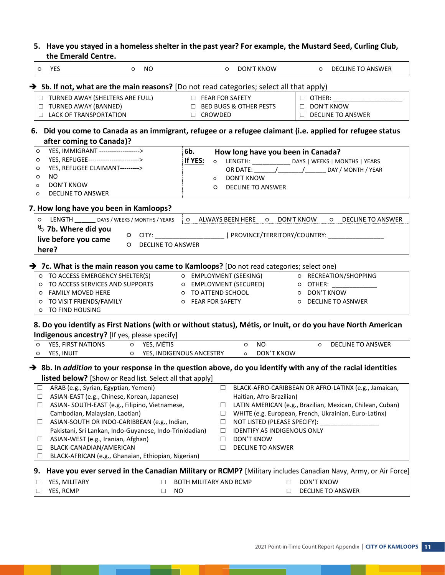**5. Have you stayed in a homeless shelter in the past year? For example, the Mustard Seed, Curling Club,** 

|         | the Emerald Centre.                                                                                                     |                               |                                   |                                                                                         |
|---------|-------------------------------------------------------------------------------------------------------------------------|-------------------------------|-----------------------------------|-----------------------------------------------------------------------------------------|
|         | o YES<br>o NO                                                                                                           |                               | O DON'T KNOW                      | O DECLINE TO ANSWER                                                                     |
|         | $\rightarrow$ 5b. If not, what are the main reasons? [Do not read categories; select all that apply)                    |                               |                                   |                                                                                         |
|         | □ TURNED AWAY (SHELTERS ARE FULL)                                                                                       | <b>EXAMPLE FOR SAFETY</b>     |                                   | $\Box$ OTHER:                                                                           |
|         | □ TURNED AWAY (BANNED)                                                                                                  |                               | □ BED BUGS & OTHER PESTS          | DON'T KNOW                                                                              |
|         | <b>LACK OF TRANSPORTATION</b>                                                                                           | □ CROWDED                     |                                   | DECLINE TO ANSWER                                                                       |
|         |                                                                                                                         |                               |                                   |                                                                                         |
|         | 6. Did you come to Canada as an immigrant, refugee or a refugee claimant (i.e. applied for refugee status               |                               |                                   |                                                                                         |
| $\circ$ | after coming to Canada)?<br>YES, IMMIGRANT ------------------->                                                         |                               |                                   |                                                                                         |
|         | YES, REFUGEE------------------------->                                                                                  | <u>6b.</u>                    | How long have you been in Canada? |                                                                                         |
| O       |                                                                                                                         | If YES:                       |                                   | O LENGTH: _________________ DAYS   WEEKS   MONTHS   YEARS                               |
| O       | YES, REFUGEE CLAIMANT--------->                                                                                         |                               |                                   |                                                                                         |
| $\circ$ | NO.                                                                                                                     | $\circ$                       | DON'T KNOW                        |                                                                                         |
| $\circ$ | <b>DON'T KNOW</b>                                                                                                       | $\circ$                       | <b>DECLINE TO ANSWER</b>          |                                                                                         |
| O       | <b>DECLINE TO ANSWER</b>                                                                                                |                               |                                   |                                                                                         |
|         | 7. How long have you been in Kamloops?                                                                                  |                               |                                   |                                                                                         |
|         | O LENGTH _________ DAYS / WEEKS / MONTHS / YEARS                                                                        | O ALWAYS BEEN HERE O          |                                   | DON'T KNOW<br>O DECLINE TO ANSWER                                                       |
|         | $\%$ 7b. Where did you                                                                                                  |                               |                                   |                                                                                         |
|         | live before you came                                                                                                    |                               |                                   | O CITY: ______________________________  PROVINCE/TERRITORY/COUNTRY: ___________________ |
|         | <b>DECLINE TO ANSWER</b><br>$\circ$<br>here?                                                                            |                               |                                   |                                                                                         |
|         |                                                                                                                         |                               |                                   |                                                                                         |
|         | $\rightarrow$ 7c. What is the main reason you came to Kamloops? [Do not read categories; select one)                    |                               |                                   |                                                                                         |
|         | O TO ACCESS EMERGENCY SHELTER(S) O EMPLOYMENT (SEEKING) O RECREATION/SHOPPING                                           |                               |                                   |                                                                                         |
|         | O TO ACCESS SERVICES AND SUPPORTS O EMPLOYMENT (SECURED) O OTHER: ______________                                        |                               |                                   |                                                                                         |
|         | O FAMILY MOVED HERE                                                                                                     | O TO ATTEND SCHOOL            |                                   | O DON'T KNOW                                                                            |
|         | O TO VISIT FRIENDS/FAMILY                                                                                               | O FEAR FOR SAFETY             |                                   | O DECLINE TO ASNWER                                                                     |
|         | O TO FIND HOUSING                                                                                                       |                               |                                   |                                                                                         |
|         |                                                                                                                         |                               |                                   |                                                                                         |
|         | 8. Do you identify as First Nations (with or without status), Métis, or Inuit, or do you have North American            |                               |                                   |                                                                                         |
|         | Indigenous ancestry? [If yes, please specify]                                                                           |                               |                                   |                                                                                         |
| O       | YES, FIRST NATIONS O YES, MÉTIS                                                                                         |                               | $\circ$ NO                        | O DECLINE TO ANSWER                                                                     |
| $\circ$ | O YES, INDIGENOUS ANCESTRY<br>YES, INUIT                                                                                |                               | o DON'T KNOW                      |                                                                                         |
|         | $\rightarrow$ 8b. In addition to your response in the question above, do you identify with any of the racial identities |                               |                                   |                                                                                         |
|         | listed below? [Show or Read list. Select all that apply]                                                                |                               |                                   |                                                                                         |
| $\Box$  | ARAB (e.g., Syrian, Egyptian, Yemeni)                                                                                   | $\Box$                        |                                   | BLACK-AFRO-CARIBBEAN OR AFRO-LATINX (e.g., Jamaican,                                    |
| $\Box$  | ASIAN-EAST (e.g., Chinese, Korean, Japanese)                                                                            |                               | Haitian, Afro-Brazilian)          |                                                                                         |
| $\Box$  | ASIAN- SOUTH-EAST (e.g., Filipino, Vietnamese,                                                                          | □                             |                                   | LATIN AMERICAN (e.g., Brazilian, Mexican, Chilean, Cuban)                               |
|         | Cambodian, Malaysian, Laotian)                                                                                          |                               |                                   |                                                                                         |
|         |                                                                                                                         | $\Box$                        |                                   | WHITE (e.g. European, French, Ukrainian, Euro-Latinx)                                   |
| $\Box$  | ASIAN-SOUTH OR INDO-CARIBBEAN (e.g., Indian,                                                                            | $\Box$                        | NOT LISTED (PLEASE SPECIFY): _    |                                                                                         |
|         | Pakistani, Sri Lankan, Indo-Guyanese, Indo-Trinidadian)                                                                 | $\Box$                        | IDENTIFY AS INDIGENOUS ONLY       |                                                                                         |
| $\Box$  | ASIAN-WEST (e.g., Iranian, Afghan)                                                                                      | □                             | DON'T KNOW                        |                                                                                         |
| $\Box$  | BLACK-CANADIAN/AMERICAN                                                                                                 | □                             | DECLINE TO ANSWER                 |                                                                                         |
| □       | BLACK-AFRICAN (e.g., Ghanaian, Ethiopian, Nigerian)                                                                     |                               |                                   |                                                                                         |
|         | 9. Have you ever served in the Canadian Military or RCMP? [Military includes Canadian Navy, Army, or Air Force]         |                               |                                   |                                                                                         |
| □       | YES, MILITARY<br>□                                                                                                      | <b>BOTH MILITARY AND RCMP</b> | $\Box$                            | DON'T KNOW                                                                              |
| □       | YES, RCMP<br>□                                                                                                          | NO.                           | $\Box$                            | <b>DECLINE TO ANSWER</b>                                                                |

- 1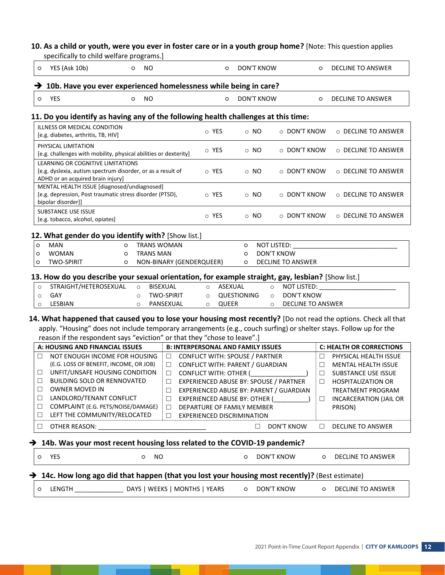### **10. As a child or youth, were you ever in foster care or in a youth group home?** [Note: This question applies

specifically to child welfare programs.]

|                                                               | YES (Ask 10b)                                                                                                                                                                                                                              | $\circ$           | NO                            |                                                                    | $\circ$                                                                                                                                                                                                | <b>DON'T KNOW</b> |                                                              | O                               | <b>DECLINE TO ANSWER</b>                                                                                                                                          |
|---------------------------------------------------------------|--------------------------------------------------------------------------------------------------------------------------------------------------------------------------------------------------------------------------------------------|-------------------|-------------------------------|--------------------------------------------------------------------|--------------------------------------------------------------------------------------------------------------------------------------------------------------------------------------------------------|-------------------|--------------------------------------------------------------|---------------------------------|-------------------------------------------------------------------------------------------------------------------------------------------------------------------|
|                                                               | 10b. Have you ever experienced homelessness while being in care?                                                                                                                                                                           |                   |                               |                                                                    |                                                                                                                                                                                                        |                   |                                                              |                                 |                                                                                                                                                                   |
| O                                                             | <b>YES</b>                                                                                                                                                                                                                                 | $\circ$           | <b>NO</b>                     |                                                                    | $\circ$                                                                                                                                                                                                | <b>DON'T KNOW</b> |                                                              | O                               | <b>DECLINE TO ANSWER</b>                                                                                                                                          |
|                                                               |                                                                                                                                                                                                                                            |                   |                               |                                                                    |                                                                                                                                                                                                        |                   |                                                              |                                 |                                                                                                                                                                   |
|                                                               | 11. Do you identify as having any of the following health challenges at this time:<br>ILLNESS OR MEDICAL CONDITION                                                                                                                         |                   |                               |                                                                    |                                                                                                                                                                                                        |                   |                                                              |                                 |                                                                                                                                                                   |
|                                                               | [e.g. diabetes, arthritis, TB, HIV]                                                                                                                                                                                                        |                   |                               |                                                                    | o YES                                                                                                                                                                                                  | $\circ$ NO        | ○ DON'T KNOW                                                 |                                 | O DECLINE TO ANSWER                                                                                                                                               |
|                                                               | PHYSICAL LIMITATION<br>[e.g. challenges with mobility, physical abilities or dexterity]                                                                                                                                                    |                   |                               |                                                                    | o YES                                                                                                                                                                                                  | ⊙ NO              | $\circ$ DON'T KNOW                                           |                                 | $\circ$ DECLINE TO ANSWER                                                                                                                                         |
|                                                               | LEARNING OR COGNITIVE LIMITATIONS<br>[e.g. dyslexia, autism spectrum disorder, or as a result of<br>ADHD or an acquired brain injury]                                                                                                      |                   |                               |                                                                    | ⊙ YES                                                                                                                                                                                                  | $\circ$ NO        | ○ DON'T KNOW                                                 |                                 | $\circ$ DECLINE TO ANSWER                                                                                                                                         |
|                                                               | MENTAL HEALTH ISSUE [diagnosed/undiagnosed]<br>[e.g. depression, Post traumatic stress disorder (PTSD),<br>bipolar disorder]]                                                                                                              |                   |                               |                                                                    | o YES                                                                                                                                                                                                  | ⊙ NO              | O DON'T KNOW                                                 |                                 | O DECLINE TO ANSWER                                                                                                                                               |
|                                                               | <b>SUBSTANCE USE ISSUE</b><br>[e.g. tobacco, alcohol, opiates]                                                                                                                                                                             |                   |                               |                                                                    | o YES                                                                                                                                                                                                  | $\circ$ NO        | ○ DON'T KNOW                                                 |                                 | ○ DECLINE TO ANSWER                                                                                                                                               |
|                                                               | 12. What gender do you identify with? [Show list.]                                                                                                                                                                                         |                   |                               |                                                                    |                                                                                                                                                                                                        |                   |                                                              |                                 |                                                                                                                                                                   |
| $\circ$<br>O<br>O                                             | <b>MAN</b><br><b>WOMAN</b><br><b>TWO-SPIRIT</b><br>13. How do you describe your sexual orientation, for example straight, gay, lesbian? [Show list.]                                                                                       | $\circ$<br>O<br>O |                               | <b>TRANS WOMAN</b><br><b>TRANS MAN</b><br>NON-BINARY (GENDERQUEER) |                                                                                                                                                                                                        | $\circ$<br>O<br>O | NOT LISTED:<br><b>DON'T KNOW</b><br><b>DECLINE TO ANSWER</b> |                                 |                                                                                                                                                                   |
| $\circ$<br>$\circ$<br>$\circ$                                 | STRAIGHT/HETEROSEXUAL<br>GAY<br>LESBIAN                                                                                                                                                                                                    |                   | $\circ$<br>$\circ$<br>$\circ$ | <b>BISEXUAL</b><br><b>TWO-SPIRIT</b>                               | ASEXUAL<br>$\circ$<br>$\circ$                                                                                                                                                                          | QUESTIONING       | NOT LISTED:<br>$\circ$<br><b>DON'T KNOW</b><br>$\circ$       |                                 |                                                                                                                                                                   |
|                                                               |                                                                                                                                                                                                                                            |                   |                               | PANSEXUAL                                                          | QUEER<br>$\circ$                                                                                                                                                                                       |                   | <b>DECLINE TO ANSWER</b><br>$\circ$                          |                                 |                                                                                                                                                                   |
|                                                               | apply. "Housing" does not include temporary arrangements (e.g., couch surfing) or shelter stays. Follow up for the<br>reason if the respondent says "eviction" or that they "chose to leave".]                                             |                   |                               |                                                                    |                                                                                                                                                                                                        |                   |                                                              |                                 | 14. What happened that caused you to lose your housing most recently? [Do not read the options. Check all that                                                    |
|                                                               | A: HOUSING AND FINANCIAL ISSUES                                                                                                                                                                                                            |                   |                               |                                                                    | <b>B: INTERPERSONAL AND FAMILY ISSUES</b>                                                                                                                                                              |                   |                                                              |                                 | <b>C: HEALTH OR CORRECTIONS</b>                                                                                                                                   |
| □<br>$\Box$<br>$\Box$<br>$\Box$<br>$\Box$<br>$\Box$<br>$\Box$ | NOT ENOUGH INCOME FOR HOUSING<br>(E.G. LOSS OF BENEFIT, INCOME, OR JOB)<br>UNFIT/UNSAFE HOUSING CONDITION<br><b>BUILDING SOLD OR RENNOVATED</b><br><b>OWNER MOVED IN</b><br>LANDLORD/TENANT CONFLICT<br>COMPLAINT (E.G. PETS/NOISE/DAMAGE) |                   |                               | □<br>□<br>□<br>□<br>$\Box$<br>□                                    | CONFLICT WITH: SPOUSE / PARTNER<br>CONFLICT WITH: PARENT / GUARDIAN<br>CONFLICT WITH: OTHER (<br>EXPERIENCED ABUSE BY: SPOUSE / PARTNER<br>EXPERIENCED ABUSE BY: OTHER (<br>DEPARTURE OF FAMILY MEMBER |                   | EXPERIENCED ABUSE BY: PARENT / GUARDIAN                      | □<br>$\Box$<br>□<br>$\Box$<br>□ | PHYSICAL HEALTH ISSUE<br>MENTAL HEALTH ISSUE<br>SUBSTANCE USE ISSUE<br><b>HOSPITALIZATION OR</b><br>TREATMENT PROGRAM<br><b>INCARCERATION (JAIL OR</b><br>PRISON) |
| $\Box$                                                        | LEFT THE COMMUNITY/RELOCATED<br>OTHER REASON:                                                                                                                                                                                              |                   |                               | $\Box$                                                             | <b>EXPERIENCED DISCRIMINATION</b>                                                                                                                                                                      | $\Box$            | DON'T KNOW                                                   | П                               | <b>DECLINE TO ANSWER</b>                                                                                                                                          |
|                                                               |                                                                                                                                                                                                                                            |                   |                               |                                                                    |                                                                                                                                                                                                        |                   |                                                              |                                 |                                                                                                                                                                   |
| O                                                             | $\rightarrow$ 14b. Was your most recent housing loss related to the COVID-19 pandemic?<br>YES                                                                                                                                              |                   | O                             | <b>NO</b>                                                          |                                                                                                                                                                                                        | O                 | DON'T KNOW                                                   | $\circ$                         | <b>DECLINE TO ANSWER</b>                                                                                                                                          |
| →                                                             |                                                                                                                                                                                                                                            |                   |                               |                                                                    |                                                                                                                                                                                                        |                   |                                                              |                                 |                                                                                                                                                                   |
| O                                                             | 14c. How long ago did that happen (that you lost your housing most recently)? (Best estimate)<br>LENGTH ____________________ DAYS   WEEKS   MONTHS   YEARS                                                                                 |                   |                               |                                                                    |                                                                                                                                                                                                        | $\circ$           | DON'T KNOW                                                   | $\circ$                         | DECLINE TO ANSWER                                                                                                                                                 |

▅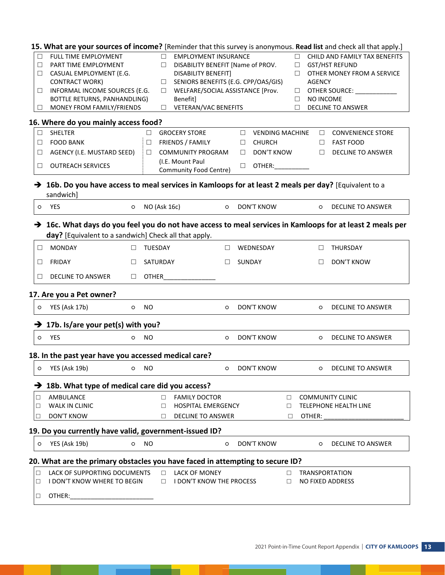|         | 15. What are your sources of income? [Reminder that this survey is anonymous. Read list and check all that apply.]                                                             |         |                                               |                                  |        |               |                               |
|---------|--------------------------------------------------------------------------------------------------------------------------------------------------------------------------------|---------|-----------------------------------------------|----------------------------------|--------|---------------|-------------------------------|
| $\Box$  | FULL TIME EMPLOYMENT                                                                                                                                                           |         | <b>EMPLOYMENT INSURANCE</b><br>□              |                                  | П.     |               | CHILD AND FAMILY TAX BENEFITS |
| $\Box$  | PART TIME EMPLOYMENT                                                                                                                                                           |         | DISABILITY BENEFIT [Name of PROV.<br>□        |                                  | $\Box$ |               | <b>GST/HST REFUND</b>         |
| $\Box$  | CASUAL EMPLOYMENT (E.G.                                                                                                                                                        |         | DISABILITY BENEFIT]                           |                                  | □      |               | OTHER MONEY FROM A SERVICE    |
|         | <b>CONTRACT WORK)</b>                                                                                                                                                          |         | SENIORS BENEFITS (E.G. CPP/OAS/GIS)<br>$\Box$ |                                  |        | <b>AGENCY</b> |                               |
| $\Box$  | INFORMAL INCOME SOURCES (E.G.                                                                                                                                                  |         | WELFARE/SOCIAL ASSISTANCE [Prov.<br>$\Box$    |                                  | ⊔      |               | OTHER SOURCE: ______________  |
|         | BOTTLE RETURNS, PANHANDLING)                                                                                                                                                   |         | Benefit]                                      |                                  | □      | NO INCOME     |                               |
| $\Box$  | MONEY FROM FAMILY/FRIENDS                                                                                                                                                      |         | VETERAN/VAC BENEFITS<br>$\Box$                |                                  | □      |               | <b>DECLINE TO ANSWER</b>      |
|         | 16. Where do you mainly access food?                                                                                                                                           |         |                                               |                                  |        |               |                               |
| $\Box$  | SHELTER                                                                                                                                                                        |         | <b>GROCERY STORE</b><br>□.                    | <b>VENDING MACHINE</b><br>$\Box$ |        | □             | <b>CONVENIENCE STORE</b>      |
| □       | <b>FOOD BANK</b>                                                                                                                                                               |         | FRIENDS / FAMILY<br>□                         | <b>CHURCH</b><br>$\Box$          |        | П             | <b>FAST FOOD</b>              |
| $\Box$  | AGENCY (I.E. MUSTARD SEED)                                                                                                                                                     |         | <b>COMMUNITY PROGRAM</b><br>$\Box$            | DON'T KNOW<br>$\Box$             |        | $\Box$        | <b>DECLINE TO ANSWER</b>      |
|         |                                                                                                                                                                                |         | (I.E. Mount Paul                              |                                  |        |               |                               |
| $\Box$  | <b>OUTREACH SERVICES</b>                                                                                                                                                       |         | Community Food Centre)                        | OTHER:<br>□                      |        |               |                               |
|         | $\rightarrow$ 16b. Do you have access to meal services in Kamloops for at least 2 meals per day? [Equivalent to a<br>sandwich]                                                 |         |                                               |                                  |        |               |                               |
| $\circ$ | YES<br>$\circ$                                                                                                                                                                 |         | NO (Ask 16c)<br>$\circ$                       | <b>DON'T KNOW</b>                |        | $\circ$       | DECLINE TO ANSWER             |
|         | $\rightarrow$ 16c. What days do you feel you do not have access to meal services in Kamloops for at least 2 meals per<br>day? [Equivalent to a sandwich] Check all that apply. |         |                                               |                                  |        |               |                               |
| $\Box$  | <b>MONDAY</b><br>$\Box$                                                                                                                                                        |         | TUESDAY<br>$\mathbb{R}^n$                     | WEDNESDAY                        |        | □             | THURSDAY                      |
| $\Box$  | FRIDAY<br>□                                                                                                                                                                    |         | SATURDAY<br>$\Box$                            | SUNDAY                           |        | □             | <b>DON'T KNOW</b>             |
| $\Box$  | DECLINE TO ANSWER<br>$\Box$                                                                                                                                                    |         | <b>OTHER</b>                                  |                                  |        |               |                               |
|         | 17. Are you a Pet owner?                                                                                                                                                       |         |                                               |                                  |        |               |                               |
| O       | YES (Ask 17b)<br>$\circ$                                                                                                                                                       |         | <b>NO</b><br>$\circ$                          | DON'T KNOW                       |        | $\circ$       | DECLINE TO ANSWER             |
|         | $\rightarrow$ 17b. Is/are your pet(s) with you?                                                                                                                                |         |                                               |                                  |        |               |                               |
| $\circ$ | YES<br>O                                                                                                                                                                       |         | <b>NO</b><br>$\circ$                          | <b>DON'T KNOW</b>                |        | $\circ$       | <b>DECLINE TO ANSWER</b>      |
|         | 18. In the past year have you accessed medical care?                                                                                                                           |         |                                               |                                  |        |               |                               |
| $\circ$ | YES (Ask 19b) O NO                                                                                                                                                             |         | O DON'T KNOW                                  |                                  |        |               | O DECLINE TO ANSWER           |
|         | → 18b. What type of medical care did you access?                                                                                                                               |         |                                               |                                  |        |               |                               |
| $\Box$  | AMBULANCE                                                                                                                                                                      |         | <b>FAMILY DOCTOR</b><br>П                     | $\Box$                           |        |               | <b>COMMUNITY CLINIC</b>       |
| $\Box$  | WALK IN CLINIC                                                                                                                                                                 |         | <b>HOSPITAL EMERGENCY</b><br>□                | $\Box$                           |        |               | <b>TELEPHONE HEALTH LINE</b>  |
| $\Box$  | <b>DON'T KNOW</b>                                                                                                                                                              |         | DECLINE TO ANSWER<br>$\Box$                   | □                                |        | OTHER:        |                               |
|         |                                                                                                                                                                                |         |                                               |                                  |        |               |                               |
|         | 19. Do you currently have valid, government-issued ID?                                                                                                                         |         |                                               |                                  |        |               |                               |
| O       | YES (Ask 19b)                                                                                                                                                                  | $\circ$ | <b>NO</b><br>$\circ$                          | <b>DON'T KNOW</b>                |        | $\circ$       | <b>DECLINE TO ANSWER</b>      |
|         | 20. What are the primary obstacles you have faced in attempting to secure ID?                                                                                                  |         |                                               |                                  |        |               |                               |
| $\Box$  | LACK OF SUPPORTING DOCUMENTS                                                                                                                                                   |         | <b>LACK OF MONEY</b>                          | $\Box$                           |        |               | TRANSPORTATION                |
| $\Box$  | I DON'T KNOW WHERE TO BEGIN                                                                                                                                                    |         | I DON'T KNOW THE PROCESS<br>$\Box$            | $\Box$                           |        |               | NO FIXED ADDRESS              |
| $\Box$  | OTHER:                                                                                                                                                                         |         |                                               |                                  |        |               |                               |

▬

- F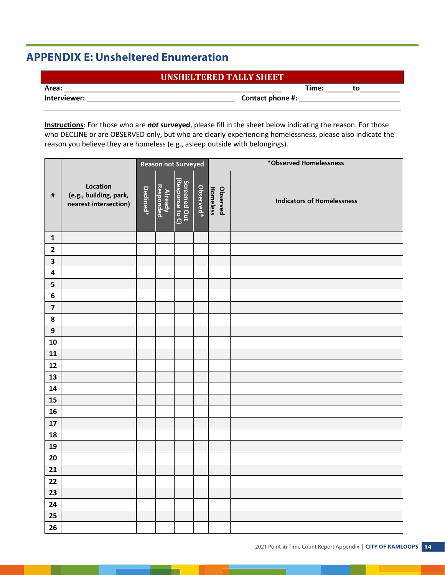# **APPENDIX E: Unsheltered Enumeration**

# **UNSHELTERED TALLY SHEET**

**Area: Time: to** 

|  |  |  |  | Interviewer: |  |
|--|--|--|--|--------------|--|

**Interviewer: Contact phone #:** 

**Instructions**: For those who are *not* **surveyed**, please fill in the sheet below indicating the reason. For those who DECLINE or are OBSERVED only, but who are clearly experiencing homelessness, please also indicate the reason you believe they are homeless (e.g., asleep outside with belongings).

|                         | <b>Reason not Surveyed</b>                                  |           |                      |                                 |           | *Observed Homelessness      |                                   |  |  |  |
|-------------------------|-------------------------------------------------------------|-----------|----------------------|---------------------------------|-----------|-----------------------------|-----------------------------------|--|--|--|
| $\pmb{\sharp}$          | Location<br>(e.g., building, park,<br>nearest intersection) | Declined* | Already<br>Responded | Screened Out<br>(Response to C) | Observed* | Homeless<br><b>Observed</b> | <b>Indicators of Homelessness</b> |  |  |  |
| $\mathbf{1}$            |                                                             |           |                      |                                 |           |                             |                                   |  |  |  |
| $\mathbf{2}$            |                                                             |           |                      |                                 |           |                             |                                   |  |  |  |
| $\overline{\mathbf{3}}$ |                                                             |           |                      |                                 |           |                             |                                   |  |  |  |
| $\overline{\mathbf{4}}$ |                                                             |           |                      |                                 |           |                             |                                   |  |  |  |
| 5                       |                                                             |           |                      |                                 |           |                             |                                   |  |  |  |
| $\bf 6$                 |                                                             |           |                      |                                 |           |                             |                                   |  |  |  |
| $\overline{\mathbf{z}}$ |                                                             |           |                      |                                 |           |                             |                                   |  |  |  |
| 8                       |                                                             |           |                      |                                 |           |                             |                                   |  |  |  |
| $\boldsymbol{9}$        |                                                             |           |                      |                                 |           |                             |                                   |  |  |  |
| 10                      |                                                             |           |                      |                                 |           |                             |                                   |  |  |  |
| ${\bf 11}$              |                                                             |           |                      |                                 |           |                             |                                   |  |  |  |
| 12                      |                                                             |           |                      |                                 |           |                             |                                   |  |  |  |
| 13                      |                                                             |           |                      |                                 |           |                             |                                   |  |  |  |
| 14                      |                                                             |           |                      |                                 |           |                             |                                   |  |  |  |
| 15                      |                                                             |           |                      |                                 |           |                             |                                   |  |  |  |
| 16                      |                                                             |           |                      |                                 |           |                             |                                   |  |  |  |
| $17\,$                  |                                                             |           |                      |                                 |           |                             |                                   |  |  |  |
| 18                      |                                                             |           |                      |                                 |           |                             |                                   |  |  |  |
| 19                      |                                                             |           |                      |                                 |           |                             |                                   |  |  |  |
| 20                      |                                                             |           |                      |                                 |           |                             |                                   |  |  |  |
| 21                      |                                                             |           |                      |                                 |           |                             |                                   |  |  |  |
| 22                      |                                                             |           |                      |                                 |           |                             |                                   |  |  |  |
| 23                      |                                                             |           |                      |                                 |           |                             |                                   |  |  |  |
| 24                      |                                                             |           |                      |                                 |           |                             |                                   |  |  |  |
| 25                      |                                                             |           |                      |                                 |           |                             |                                   |  |  |  |
| 26                      |                                                             |           |                      |                                 |           |                             |                                   |  |  |  |

▬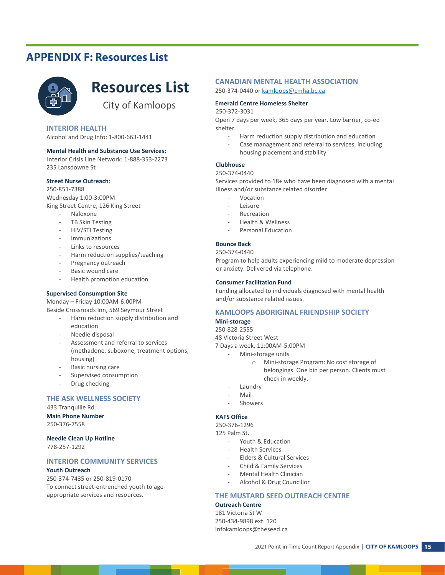# **APPENDIX F: Resources List**



# **Resources List**

City of Kamloops

#### **INTERIOR HEALTH**

Alcohol and Drug Info: 1-800-663-1441

#### **Mental Health and Substance Use Services:**

Interior Crisis Line Network: 1-888-353-2273 235 Lansdowne St

#### **Street Nurse Outreach:**

250-851-7388 Wednesday 1:00-3:00PM King Street Centre, 126 King Street

- Naloxone
- TB Skin Testing
- HIV/STI Testing
- **Immunizations**
- Links to resources
- Harm reduction supplies/teaching
- Pregnancy outreach
- Basic wound care
- Health promotion education

#### **Supervised Consumption Site**

Monday – Friday 10:00AM-6:00PM Beside Crossroads Inn, 569 Seymour Street

- Harm reduction supply distribution and education
	- Needle disposal
	- Assessment and referral to services (methadone, suboxone, treatment options, housing)
	- Basic nursing care
	- Supervised consumption
	- Drug checking

#### **THE ASK WELLNESS SOCIETY**

433 Tranquille Rd.

**Main Phone Number**

250-376-7558

#### **Needle Clean Up Hotline**

778-257-1292

#### **INTERIOR COMMUNITY SERVICES**

#### **Youth Outreach**

250-374-7435 or 250-819-0170 To connect street-entrenched youth to ageappropriate services and resources.

#### **CANADIAN MENTAL HEALTH ASSOCIATION**

250-374-0440 or kamloops@cmha.bc.ca

#### **Emerald Centre Homeless Shelter**

#### 250-372-3031

Open 7 days per week, 365 days per year. Low barrier, co-ed shelter.

- Harm reduction supply distribution and education
- Case management and referral to services, including housing placement and stability

#### **Clubhouse**

#### 250-374-0440

Services provided to 18+ who have been diagnosed with a mental illness and/or substance related disorder

- **Vocation**
- Leisure
- **Recreation**
- Health & Wellness
- Personal Education

#### **Bounce Back**

#### 250-374-0440

Program to help adults experiencing mild to moderate depression or anxiety. Delivered via telephone.

#### **Consumer Facilitation Fund**

Funding allocated to individuals diagnosed with mental health and/or substance related issues.

#### **KAMLOOPS ABORIGINAL FRIENDSHIP SOCIETY**

#### **Mini-storage**

250-828-2555

48 Victoria Street West

7 Days a week, 11:00AM-5:00PM

- Mini-storage units
	- o Mini-storage Program: No cost storage of belongings. One bin per person. Clients must check in weekly.
- **Laundry**
- **Mail**
- **Showers**

#### **KAFS Office**

250-376-1296

125 Palm St.

- Youth & Education
- Health Services
- Elders & Cultural Services
- Child & Family Services
- Mental Health Clinician
- Alcohol & Drug Councillor

#### **THE MUSTARD SEED OUTREACH CENTRE**

#### **Outreach Centre**

181 Victoria St W 250-434-9898 ext. 120 Infokamloops@theseed.ca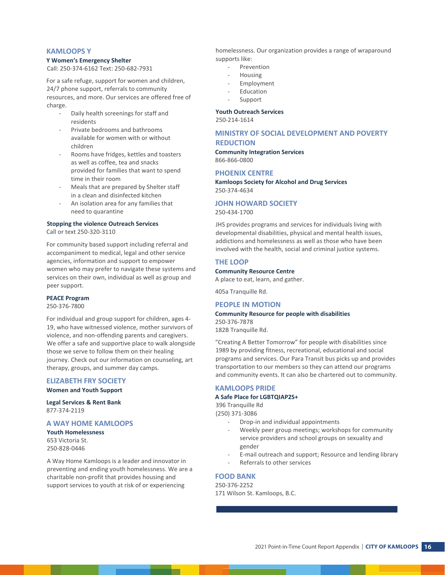#### **KAMLOOPS Y**

#### **Y Women's Emergency Shelter**

Call: 250-374-6162 Text: 250-682-7931

For a safe refuge, support for women and children, 24/7 phone support, referrals to community resources, and more. Our services are offered free of charge.

- Daily health screenings for staff and residents
- Private bedrooms and bathrooms available for women with or without children
- Rooms have fridges, kettles and toasters as well as coffee, tea and snacks provided for families that want to spend time in their room
- Meals that are prepared by Shelter staff in a clean and disinfected kitchen
- An isolation area for any families that need to quarantine

#### **Stopping the violence Outreach Services**

Call or text 250-320-3110

For community based support including referral and accompaniment to medical, legal and other service agencies, information and support to empower women who may prefer to navigate these systems and services on their own, individual as well as group and peer support.

#### **PEACE Program**

250-376-7800

For individual and group support for children, ages 4- 19, who have witnessed violence, mother survivors of violence, and non-offending parents and caregivers. We offer a safe and supportive place to walk alongside those we serve to follow them on their healing journey. Check out our information on counseling, art therapy, groups, and summer day camps.

#### **ELIZABETH FRY SOCIETY Women and Youth Support**

**Legal Services & Rent Bank** 877-374-2119

#### **A WAY HOME KAMLOOPS**

**Youth Homelessness** 653 Victoria St. 250-828-0446

A Way Home Kamloops is a leader and innovator in preventing and ending youth homelessness. We are a charitable non-profit that provides housing and support services to youth at risk of or experiencing

homelessness. Our organization provides a range of wraparound supports like:

- Prevention
- **Housing**
- **Employment**
- **Education**
- **Support**

#### **Youth Outreach Services**

250-214-1614

#### **MINISTRY OF SOCIAL DEVELOPMENT AND POVERTY REDUCTION**

**Community Integration Services** 866-866-0800

#### **PHOENIX CENTRE**

**Kamloops Society for Alcohol and Drug Services** 250-374-4634

#### **JOHN HOWARD SOCIETY**

250-434-1700

JHS provides programs and services for individuals living with developmental disabilities, physical and mental health issues, addictions and homelessness as well as those who have been involved with the health, social and criminal justice systems.

#### **THE LOOP**

#### **Community Resource Centre**

A place to eat, learn, and gather.

405a Tranquille Rd.

#### **PEOPLE IN MOTION**

#### **Community Resource for people with disabilities**

250-376-7878 182B Tranquille Rd.

"Creating A Better Tomorrow" for people with disabilities since 1989 by providing fitness, recreational, educational and social programs and services. Our Para Transit bus picks up and provides transportation to our members so they can attend our programs and community events. It can also be chartered out to community.

#### **KAMLOOPS PRIDE**

#### **A Safe Place for LGBTQIAP2S+**

396 Tranquille Rd (250) 371-3086

- Drop-in and individual appointments
- Weekly peer group meetings; workshops for community service providers and school groups on sexuality and gender
- E-mail outreach and support; Resource and lending library
- Referrals to other services

#### **FOOD BANK**

250-376-2252 171 Wilson St. Kamloops, B.C.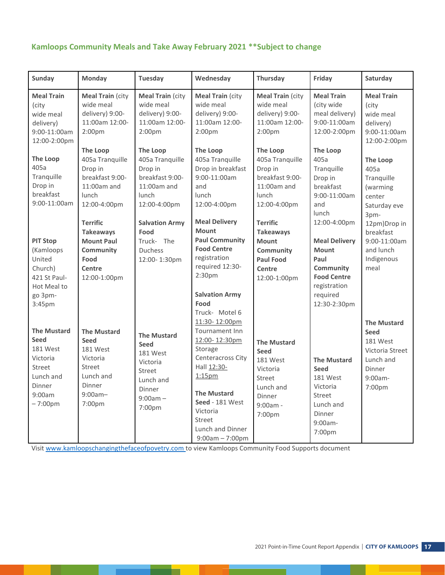# **Kamloops Community Meals and Take Away February 2021 \*\*Subject to change**

| Sunday                                                                                                            | Monday                                                                                                                    | <b>Tuesday</b>                                                                                                     | Wednesday                                                                                                                                                                                                                            | Thursday                                                                                                              | Friday                                                                                                                                               | Saturday                                                                                                     |
|-------------------------------------------------------------------------------------------------------------------|---------------------------------------------------------------------------------------------------------------------------|--------------------------------------------------------------------------------------------------------------------|--------------------------------------------------------------------------------------------------------------------------------------------------------------------------------------------------------------------------------------|-----------------------------------------------------------------------------------------------------------------------|------------------------------------------------------------------------------------------------------------------------------------------------------|--------------------------------------------------------------------------------------------------------------|
| <b>Meal Train</b><br>(city<br>wide meal<br>delivery)<br>9:00-11:00am<br>12:00-2:00pm                              | <b>Meal Train (city</b><br>wide meal<br>delivery) 9:00-<br>11:00am 12:00-<br>2:00 <sub>pm</sub>                           | <b>Meal Train (city</b><br>wide meal<br>delivery) 9:00-<br>11:00am 12:00-<br>2:00 <sub>pm</sub>                    | <b>Meal Train (city</b><br>wide meal<br>delivery) 9:00-<br>11:00am 12:00-<br>2:00 <sub>pm</sub>                                                                                                                                      | <b>Meal Train (city</b><br>wide meal<br>delivery) 9:00-<br>11:00am 12:00-<br>2:00 <sub>pm</sub>                       | <b>Meal Train</b><br>(city wide<br>meal delivery)<br>9:00-11:00am<br>12:00-2:00pm                                                                    | <b>Meal Train</b><br>(city<br>wide meal<br>delivery)<br>9:00-11:00am<br>12:00-2:00pm                         |
| <b>The Loop</b><br>405a<br>Tranquille<br>Drop in<br>breakfast<br>9:00-11:00am                                     | <b>The Loop</b><br>405a Tranquille<br>Drop in<br>breakfast 9:00-<br>$11:00$ am and<br>lunch<br>12:00-4:00pm               | <b>The Loop</b><br>405a Tranquille<br>Drop in<br>breakfast 9:00-<br>$11:00$ am and<br>lunch<br>12:00-4:00pm        | <b>The Loop</b><br>405a Tranquille<br>Drop in breakfast<br>9:00-11:00am<br>and<br>lunch<br>12:00-4:00pm                                                                                                                              | <b>The Loop</b><br>405a Tranquille<br>Drop in<br>breakfast 9:00-<br>$11:00$ am and<br>lunch<br>12:00-4:00pm           | <b>The Loop</b><br>405a<br>Tranquille<br>Drop in<br>breakfast<br>9:00-11:00am<br>and                                                                 | <b>The Loop</b><br>405a<br>Tranquille<br>(warming<br>center<br>Saturday eve                                  |
| <b>PIT Stop</b><br>(Kamloops<br>United<br>Church)<br>421 St Paul-<br>Hot Meal to<br>go 3pm-<br>3:45pm             | <b>Terrific</b><br><b>Takeaways</b><br><b>Mount Paul</b><br>Community<br>Food<br>Centre<br>12:00-1:00pm                   | <b>Salvation Army</b><br>Food<br>Truck- The<br><b>Duchess</b><br>12:00-1:30pm                                      | <b>Meal Delivery</b><br><b>Mount</b><br><b>Paul Community</b><br><b>Food Centre</b><br>registration<br>required 12:30-<br>2:30 <sub>pm</sub><br><b>Salvation Army</b><br>Food<br>Truck- Motel 6                                      | <b>Terrific</b><br><b>Takeaways</b><br><b>Mount</b><br><b>Community</b><br><b>Paul Food</b><br>Centre<br>12:00-1:00pm | lunch<br>12:00-4:00pm<br><b>Meal Delivery</b><br><b>Mount</b><br>Paul<br>Community<br><b>Food Centre</b><br>registration<br>required<br>12:30-2:30pm | 3pm-<br>12pm)Drop in<br>breakfast<br>9:00-11:00am<br>and lunch<br>Indigenous<br>meal                         |
| <b>The Mustard</b><br><b>Seed</b><br>181 West<br>Victoria<br>Street<br>Lunch and<br>Dinner<br>9:00am<br>$-7:00pm$ | <b>The Mustard</b><br><b>Seed</b><br>181 West<br>Victoria<br><b>Street</b><br>Lunch and<br>Dinner<br>$9:00am -$<br>7:00pm | <b>The Mustard</b><br><b>Seed</b><br>181 West<br>Victoria<br>Street<br>Lunch and<br>Dinner<br>$9:00am -$<br>7:00pm | 11:30-12:00pm<br>Tournament Inn<br>12:00-12:30pm<br>Storage<br>Centeracross City<br>Hall 12:30-<br>1:15 <sub>pm</sub><br><b>The Mustard</b><br>Seed - 181 West<br>Victoria<br><b>Street</b><br>Lunch and Dinner<br>$9:00am - 7:00pm$ | <b>The Mustard</b><br><b>Seed</b><br>181 West<br>Victoria<br>Street<br>Lunch and<br>Dinner<br>$9:00am -$<br>7:00pm    | <b>The Mustard</b><br><b>Seed</b><br>181 West<br>Victoria<br><b>Street</b><br>Lunch and<br>Dinner<br>9:00am-<br>7:00pm                               | <b>The Mustard</b><br><b>Seed</b><br>181 West<br>Victoria Street<br>Lunch and<br>Dinner<br>9:00am-<br>7:00pm |

Visit www.kamloopschangingthefaceofpovetry.com to view Kamloops Community Food Supports document

m